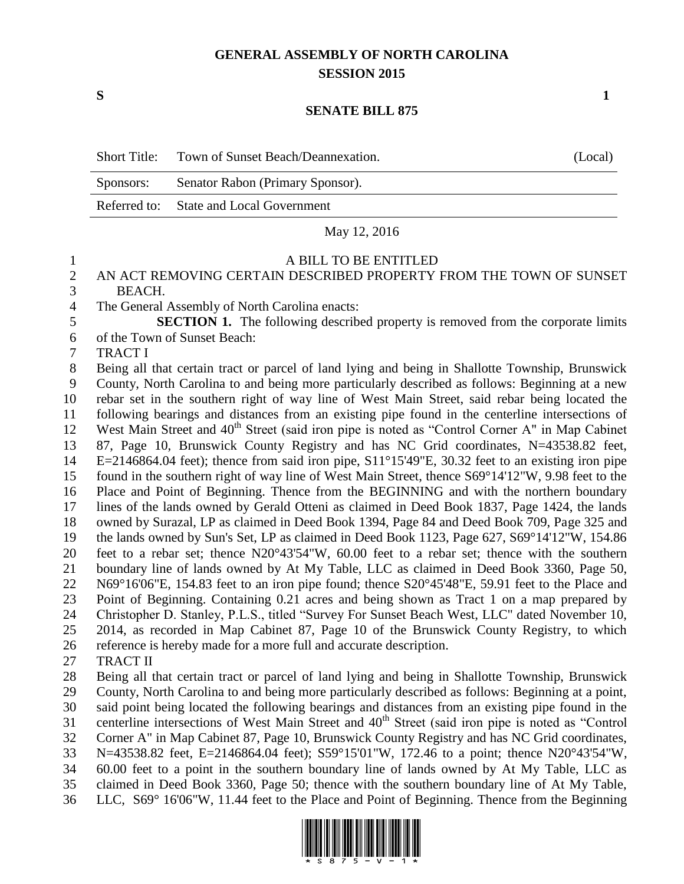# **GENERAL ASSEMBLY OF NORTH CAROLINA SESSION 2015**

**S 1**

#### **SENATE BILL 875**

| <b>Short Title:</b> | Town of Sunset Beach/Deannexation.      | (Local) |
|---------------------|-----------------------------------------|---------|
| Sponsors:           | Senator Rabon (Primary Sponsor).        |         |
|                     | Referred to: State and Local Government |         |

May 12, 2016

## A BILL TO BE ENTITLED

### AN ACT REMOVING CERTAIN DESCRIBED PROPERTY FROM THE TOWN OF SUNSET BEACH.

The General Assembly of North Carolina enacts:

 **SECTION 1.** The following described property is removed from the corporate limits of the Town of Sunset Beach:

TRACT I

 Being all that certain tract or parcel of land lying and being in Shallotte Township, Brunswick County, North Carolina to and being more particularly described as follows: Beginning at a new rebar set in the southern right of way line of West Main Street, said rebar being located the following bearings and distances from an existing pipe found in the centerline intersections of 12 West Main Street and 40<sup>th</sup> Street (said iron pipe is noted as "Control Corner A" in Map Cabinet 87, Page 10, Brunswick County Registry and has NC Grid coordinates, N=43538.82 feet, E=2146864.04 feet); thence from said iron pipe, S11°15'49"E, 30.32 feet to an existing iron pipe found in the southern right of way line of West Main Street, thence S69°14'12"W, 9.98 feet to the Place and Point of Beginning. Thence from the BEGINNING and with the northern boundary lines of the lands owned by Gerald Otteni as claimed in Deed Book 1837, Page 1424, the lands owned by Surazal, LP as claimed in Deed Book 1394, Page 84 and Deed Book 709, Page 325 and the lands owned by Sun's Set, LP as claimed in Deed Book 1123, Page 627, S69°14'12"W, 154.86 feet to a rebar set; thence N20°43'54"W, 60.00 feet to a rebar set; thence with the southern boundary line of lands owned by At My Table, LLC as claimed in Deed Book 3360, Page 50, N69°16'06"E, 154.83 feet to an iron pipe found; thence S20°45'48"E, 59.91 feet to the Place and Point of Beginning. Containing 0.21 acres and being shown as Tract 1 on a map prepared by Christopher D. Stanley, P.L.S., titled "Survey For Sunset Beach West, LLC" dated November 10, 2014, as recorded in Map Cabinet 87, Page 10 of the Brunswick County Registry, to which reference is hereby made for a more full and accurate description. TRACT II

 Being all that certain tract or parcel of land lying and being in Shallotte Township, Brunswick County, North Carolina to and being more particularly described as follows: Beginning at a point, said point being located the following bearings and distances from an existing pipe found in the 31 centerline intersections of West Main Street and 40<sup>th</sup> Street (said iron pipe is noted as "Control") Corner A" in Map Cabinet 87, Page 10, Brunswick County Registry and has NC Grid coordinates, N=43538.82 feet, E=2146864.04 feet); S59°15'01"W, 172.46 to a point; thence N20°43'54"W, 60.00 feet to a point in the southern boundary line of lands owned by At My Table, LLC as claimed in Deed Book 3360, Page 50; thence with the southern boundary line of At My Table, LLC, S69° 16'06"W, 11.44 feet to the Place and Point of Beginning. Thence from the Beginning

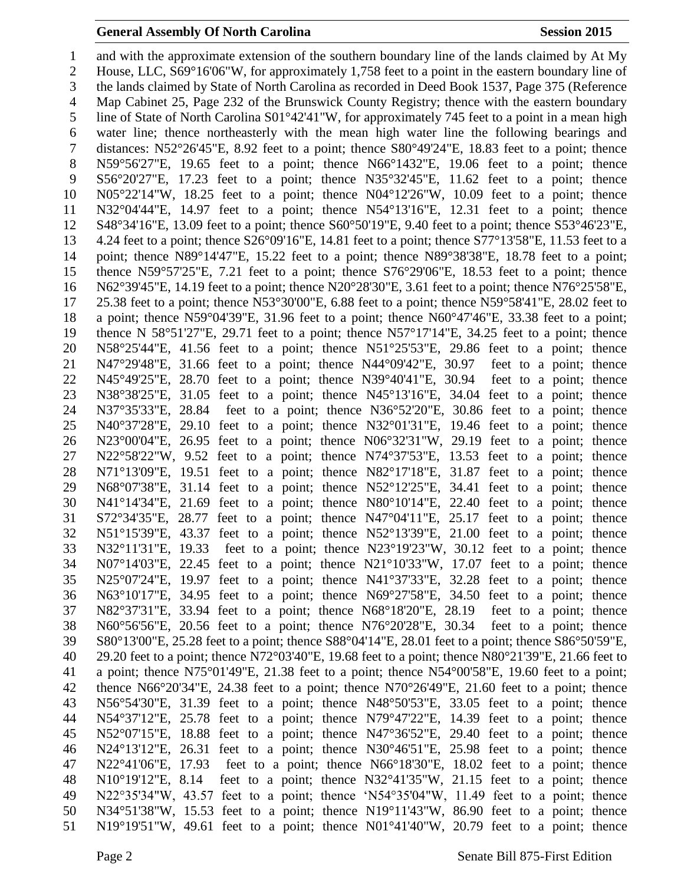#### **General Assembly Of North Carolina Session 2015**

 and with the approximate extension of the southern boundary line of the lands claimed by At My House, LLC, S69°16'06"W, for approximately 1,758 feet to a point in the eastern boundary line of the lands claimed by State of North Carolina as recorded in Deed Book 1537, Page 375 (Reference Map Cabinet 25, Page 232 of the Brunswick County Registry; thence with the eastern boundary line of State of North Carolina S01°42'41"W, for approximately 745 feet to a point in a mean high water line; thence northeasterly with the mean high water line the following bearings and distances: N52°26'45"E, 8.92 feet to a point; thence S80°49'24"E, 18.83 feet to a point; thence N59°56'27"E, 19.65 feet to a point; thence N66°1432"E, 19.06 feet to a point; thence S56°20'27"E, 17.23 feet to a point; thence N35°32'45"E, 11.62 feet to a point; thence N05°22'14"W, 18.25 feet to a point; thence N04°12'26"W, 10.09 feet to a point; thence N32°04'44"E, 14.97 feet to a point; thence N54°13'16"E, 12.31 feet to a point; thence S48°34'16"E, 13.09 feet to a point; thence S60°50'19"E, 9.40 feet to a point; thence S53°46'23"E, 4.24 feet to a point; thence S26°09'16"E, 14.81 feet to a point; thence S77°13'58"E, 11.53 feet to a point; thence N89°14'47"E, 15.22 feet to a point; thence N89°38'38"E, 18.78 feet to a point; thence N59°57'25"E, 7.21 feet to a point; thence S76°29'06"E, 18.53 feet to a point; thence N62°39'45"E, 14.19 feet to a point; thence N20°28'30"E, 3.61 feet to a point; thence N76°25'58"E, 25.38 feet to a point; thence N53°30'00"E, 6.88 feet to a point; thence N59°58'41"E, 28.02 feet to a point; thence N59°04'39"E, 31.96 feet to a point; thence N60°47'46"E, 33.38 feet to a point; thence N 58°51'27"E, 29.71 feet to a point; thence N57°17'14"E, 34.25 feet to a point; thence N58°25'44"E, 41.56 feet to a point; thence N51°25'53"E, 29.86 feet to a point; thence N47°29'48"E, 31.66 feet to a point; thence N44°09'42"E, 30.97 feet to a point; thence N45°49'25"E, 28.70 feet to a point; thence N39°40'41"E, 30.94 feet to a point; thence N38°38'25"E, 31.05 feet to a point; thence N45°13'16"E, 34.04 feet to a point; thence N37°35'33"E, 28.84 feet to a point; thence N36°52'20"E, 30.86 feet to a point; thence N40°37'28"E, 29.10 feet to a point; thence N32°01'31"E, 19.46 feet to a point; thence N23°00'04"E, 26.95 feet to a point; thence N06°32'31"W, 29.19 feet to a point; thence N22°58'22"W, 9.52 feet to a point; thence N74°37'53"E, 13.53 feet to a point; thence N71°13'09"E, 19.51 feet to a point; thence N82°17'18"E, 31.87 feet to a point; thence N68°07'38"E, 31.14 feet to a point; thence N52°12'25"E, 34.41 feet to a point; thence N41°14'34"E, 21.69 feet to a point; thence N80°10'14"E, 22.40 feet to a point; thence S72°34'35"E, 28.77 feet to a point; thence N47°04'11"E, 25.17 feet to a point; thence N51°15'39"E, 43.37 feet to a point; thence N52°13'39"E, 21.00 feet to a point; thence N32°11'31"E, 19.33 feet to a point; thence N23°19'23"W, 30.12 feet to a point; thence N07°14'03"E, 22.45 feet to a point; thence N21°10'33"W, 17.07 feet to a point; thence N25°07'24"E, 19.97 feet to a point; thence N41°37'33"E, 32.28 feet to a point; thence N63°10'17"E, 34.95 feet to a point; thence N69°27'58"E, 34.50 feet to a point; thence N82°37'31"E, 33.94 feet to a point; thence N68°18'20"E, 28.19 feet to a point; thence N60°56'56"E, 20.56 feet to a point; thence N76°20'28"E, 30.34 feet to a point; thence S80°13'00"E, 25.28 feet to a point; thence S88°04'14"E, 28.01 feet to a point; thence S86°50'59"E, 29.20 feet to a point; thence N72°03'40"E, 19.68 feet to a point; thence N80°21'39"E, 21.66 feet to a point; thence N75°01'49"E, 21.38 feet to a point; thence N54°00'58"E, 19.60 feet to a point; thence N66°20'34"E, 24.38 feet to a point; thence N70°26'49"E, 21.60 feet to a point; thence N56°54'30"E, 31.39 feet to a point; thence N48°50'53"E, 33.05 feet to a point; thence N54°37'12"E, 25.78 feet to a point; thence N79°47'22"E, 14.39 feet to a point; thence N52°07'15"E, 18.88 feet to a point; thence N47°36'52"E, 29.40 feet to a point; thence N24°13'12"E, 26.31 feet to a point; thence N30°46'51"E, 25.98 feet to a point; thence N22°41'06"E, 17.93 feet to a point; thence N66°18'30"E, 18.02 feet to a point; thence N10°19'12"E, 8.14 feet to a point; thence N32°41'35"W, 21.15 feet to a point; thence N22°35'34"W, 43.57 feet to a point; thence 'N54°35'04"W, 11.49 feet to a point; thence N34°51'38"W, 15.53 feet to a point; thence N19°11'43"W, 86.90 feet to a point; thence N19°19'51"W, 49.61 feet to a point; thence N01°41'40"W, 20.79 feet to a point; thence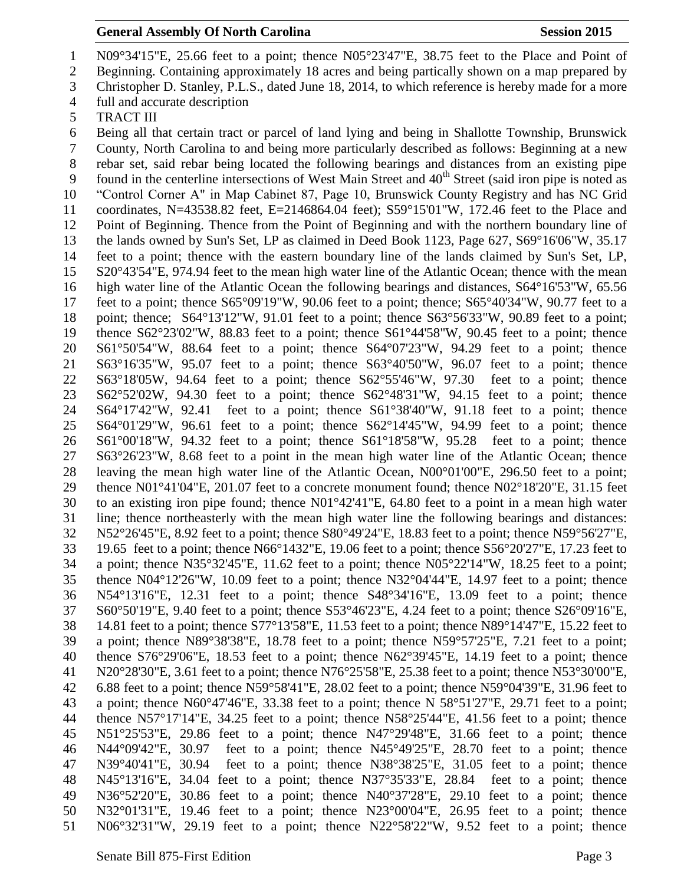## **General Assembly Of North Carolina Session 2015**

- N09°34'15"E, 25.66 feet to a point; thence N05°23'47"E, 38.75 feet to the Place and Point of
- Beginning. Containing approximately 18 acres and being partically shown on a map prepared by
- Christopher D. Stanley, P.L.S., dated June 18, 2014, to which reference is hereby made for a more
- full and accurate description
- TRACT III

 Being all that certain tract or parcel of land lying and being in Shallotte Township, Brunswick County, North Carolina to and being more particularly described as follows: Beginning at a new rebar set, said rebar being located the following bearings and distances from an existing pipe 9 found in the centerline intersections of West Main Street and 40<sup>th</sup> Street (said iron pipe is noted as "Control Corner A" in Map Cabinet 87, Page 10, Brunswick County Registry and has NC Grid coordinates, N=43538.82 feet, E=2146864.04 feet); S59°15'01"W, 172.46 feet to the Place and Point of Beginning. Thence from the Point of Beginning and with the northern boundary line of the lands owned by Sun's Set, LP as claimed in Deed Book 1123, Page 627, S69°16'06"W, 35.17 feet to a point; thence with the eastern boundary line of the lands claimed by Sun's Set, LP, S20°43'54"E, 974.94 feet to the mean high water line of the Atlantic Ocean; thence with the mean high water line of the Atlantic Ocean the following bearings and distances, S64°16'53"W, 65.56 feet to a point; thence S65°09'19"W, 90.06 feet to a point; thence; S65°40'34"W, 90.77 feet to a point; thence; S64°13'12"W, 91.01 feet to a point; thence S63°56'33"W, 90.89 feet to a point; thence S62°23'02"W, 88.83 feet to a point; thence S61°44'58"W, 90.45 feet to a point; thence S61°50'54"W, 88.64 feet to a point; thence S64°07'23"W, 94.29 feet to a point; thence S63°16'35"W, 95.07 feet to a point; thence S63°40'50"W, 96.07 feet to a point; thence S63°18'05W, 94.64 feet to a point; thence S62°55'46"W, 97.30 feet to a point; thence S62°52'02W, 94.30 feet to a point; thence S62°48'31"W, 94.15 feet to a point; thence S64°17'42"W, 92.41 feet to a point; thence S61°38'40"W, 91.18 feet to a point; thence S64°01'29"W, 96.61 feet to a point; thence S62°14'45"W, 94.99 feet to a point; thence S61°00'18"W, 94.32 feet to a point; thence S61°18'58"W, 95.28 feet to a point; thence S63°26'23"W, 8.68 feet to a point in the mean high water line of the Atlantic Ocean; thence leaving the mean high water line of the Atlantic Ocean, N00°01'00"E, 296.50 feet to a point; thence N01°41'04"E, 201.07 feet to a concrete monument found; thence N02°18'20"E, 31.15 feet to an existing iron pipe found; thence N01°42'41"E, 64.80 feet to a point in a mean high water line; thence northeasterly with the mean high water line the following bearings and distances: N52°26'45"E, 8.92 feet to a point; thence S80°49'24"E, 18.83 feet to a point; thence N59°56'27"E, 19.65 feet to a point; thence N66°1432"E, 19.06 feet to a point; thence S56°20'27"E, 17.23 feet to a point; thence N35°32'45"E, 11.62 feet to a point; thence N05°22'14"W, 18.25 feet to a point; thence N04°12'26"W, 10.09 feet to a point; thence N32°04'44"E, 14.97 feet to a point; thence N54°13'16"E, 12.31 feet to a point; thence S48°34'16"E, 13.09 feet to a point; thence S60°50'19"E, 9.40 feet to a point; thence S53°46'23"E, 4.24 feet to a point; thence S26°09'16"E, 14.81 feet to a point; thence S77°13'58"E, 11.53 feet to a point; thence N89°14'47"E, 15.22 feet to a point; thence N89°38'38"E, 18.78 feet to a point; thence N59°57'25"E, 7.21 feet to a point; thence S76°29'06"E, 18.53 feet to a point; thence N62°39'45"E, 14.19 feet to a point; thence N20°28'30"E, 3.61 feet to a point; thence N76°25'58"E, 25.38 feet to a point; thence N53°30'00"E, 6.88 feet to a point; thence N59°58'41"E, 28.02 feet to a point; thence N59°04'39"E, 31.96 feet to a point; thence N60°47'46"E, 33.38 feet to a point; thence N 58°51'27"E, 29.71 feet to a point; thence N57°17'14"E, 34.25 feet to a point; thence N58°25'44"E, 41.56 feet to a point; thence N51°25'53"E, 29.86 feet to a point; thence N47°29'48"E, 31.66 feet to a point; thence N44°09'42"E, 30.97 feet to a point; thence N45°49'25"E, 28.70 feet to a point; thence N39°40'41"E, 30.94 feet to a point; thence N38°38'25"E, 31.05 feet to a point; thence N45°13'16"E, 34.04 feet to a point; thence N37°35'33"E, 28.84 feet to a point; thence N36°52'20"E, 30.86 feet to a point; thence N40°37'28"E, 29.10 feet to a point; thence N32°01'31"E, 19.46 feet to a point; thence N23°00'04"E, 26.95 feet to a point; thence N06°32'31"W, 29.19 feet to a point; thence N22°58'22"W, 9.52 feet to a point; thence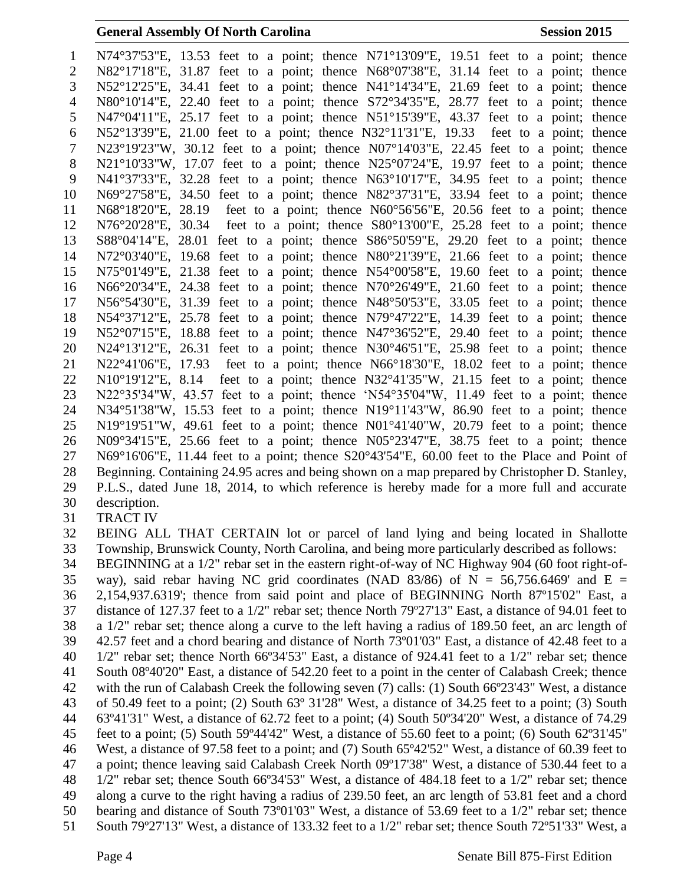|                | <b>General Assembly Of North Carolina</b>                                                                   | <b>Session 2015</b> |
|----------------|-------------------------------------------------------------------------------------------------------------|---------------------|
| $\mathbf{1}$   | N74°37'53"E, 13.53 feet to a point; thence N71°13'09"E, 19.51 feet to a point; thence                       |                     |
| $\overline{2}$ | N82°17'18"E, 31.87 feet to a point; thence N68°07'38"E, 31.14 feet to a point; thence                       |                     |
| 3              | N52°12'25"E, 34.41 feet to a point; thence N41°14'34"E, 21.69 feet to a point; thence                       |                     |
| $\overline{4}$ | N80°10'14"E, 22.40 feet to a point; thence $S72^{\circ}34'35''E$ , 28.77 feet to a point; thence            |                     |
| 5              | $N47^{\circ}04'11''E$ , 25.17 feet to a point; thence $N51^{\circ}15'39''E$ , 43.37 feet to a point; thence |                     |
| 6              | N52°13'39"E, 21.00 feet to a point; thence N32°11'31"E, 19.33 feet to a point; thence                       |                     |
| $\tau$         | $N23^{\circ}19'23''W$ , 30.12 feet to a point; thence $N07^{\circ}14'03''E$ , 22.45 feet to a point; thence |                     |
| $8\,$          | $N21^{\circ}10'33''W$ , 17.07 feet to a point; thence $N25^{\circ}07'24''E$ , 19.97 feet to a point; thence |                     |
| 9              | N41°37'33"E, 32.28 feet to a point; thence N63°10'17"E, 34.95 feet to a point; thence                       |                     |
| 10             | N69°27'58"E, 34.50 feet to a point; thence N82°37'31"E, 33.94 feet to a point; thence                       |                     |
| 11             | N68°18'20"E, 28.19 feet to a point; thence N60°56'56"E, 20.56 feet to a point; thence                       |                     |
| 12             | N76°20'28"E, 30.34 feet to a point; thence S80°13'00"E, 25.28 feet to a point; thence                       |                     |
| 13             | S88°04'14"E, 28.01 feet to a point; thence S86°50'59"E, 29.20 feet to a point; thence                       |                     |
| 14             | N72°03'40"E, 19.68 feet to a point; thence N80°21'39"E, 21.66 feet to a point; thence                       |                     |
| 15             | $N75^{\circ}01'49''E$ , 21.38 feet to a point; thence $N54^{\circ}00'58''E$ , 19.60 feet to a point; thence |                     |
| 16             | N66 $\degree$ 20'34"E, 24.38 feet to a point; thence N70 $\degree$ 26'49"E, 21.60 feet to a point; thence   |                     |
| 17             | N56°54'30"E, 31.39 feet to a point; thence N48°50'53"E, 33.05 feet to a point; thence                       |                     |
| 18             | N54°37'12"E, 25.78 feet to a point; thence N79°47'22"E, 14.39 feet to a point; thence                       |                     |
| 19             | N52°07'15"E, 18.88 feet to a point; thence N47°36'52"E, 29.40 feet to a point; thence                       |                     |
| 20             | $N24^{\circ}13'12''E$ , 26.31 feet to a point; thence $N30^{\circ}46'51''E$ , 25.98 feet to a point; thence |                     |
| 21             | N22°41'06"E, 17.93 feet to a point; thence $N66^{\circ}18'30''E$ , 18.02 feet to a point; thence            |                     |
| 22             | $N10^{\circ}19'12''E$ , 8.14 feet to a point; thence $N32^{\circ}41'35''W$ , 21.15 feet to a point; thence  |                     |
| 23             | N22°35'34"W, 43.57 feet to a point; thence 'N54°35'04"W, 11.49 feet to a point; thence                      |                     |
| 24             | N34°51'38"W, 15.53 feet to a point; thence N19°11'43"W, 86.90 feet to a point; thence                       |                     |
| 25             | N19°19'51"W, 49.61 feet to a point; thence N01°41'40"W, 20.79 feet to a point; thence                       |                     |
| 26             | $N09^{\circ}34'15''E$ , 25.66 feet to a point; thence $N05^{\circ}23'47''E$ , 38.75 feet to a point; thence |                     |
| 27             | N69°16′06″E, 11.44 feet to a point; thence S20°43′54″E, 60.00 feet to the Place and Point of                |                     |
| 28             | Beginning. Containing 24.95 acres and being shown on a map prepared by Christopher D. Stanley,              |                     |
| 29             | P.L.S., dated June 18, 2014, to which reference is hereby made for a more full and accurate                 |                     |
| 30             | description.                                                                                                |                     |
| 31             | <b>TRACT IV</b>                                                                                             |                     |
| 32             | BEING ALL THAT CERTAIN lot or parcel of land lying and being located in Shallotte                           |                     |
| 33             | Township, Brunswick County, North Carolina, and being more particularly described as follows:               |                     |
| 34             | BEGINNING at a 1/2" rebar set in the eastern right-of-way of NC Highway 904 (60 foot right-of-              |                     |
| 35             | way), said rebar having NC grid coordinates (NAD 83/86) of N = 56,756.6469' and E =                         |                     |
| 36             | 2,154,937.6319'; thence from said point and place of BEGINNING North 87°15'02" East, a                      |                     |
| 37             | distance of 127.37 feet to a 1/2" rebar set; thence North 79°27'13" East, a distance of 94.01 feet to       |                     |
| 38             | a 1/2" rebar set; thence along a curve to the left having a radius of 189.50 feet, an arc length of         |                     |
| 39             | 42.57 feet and a chord bearing and distance of North 73°01'03" East, a distance of 42.48 feet to a          |                     |
| 4Ω.            | $1/2$ " reparset: thence North $6693/53$ " East a distance of $924.41$ feet to a $1/2$ " reparset: thence   |                     |

 BEGINNING at a 1/2" rebar set in the eastern right-of-way of NC Highway 904 (60 foot right-of-35 way), said rebar having NC grid coordinates (NAD 83/86) of  $N = 56,756.6469$  and  $E =$  2,154,937.6319'; thence from said point and place of BEGINNING North 87º15'02" East, a distance of 127.37 feet to a 1/2" rebar set; thence North 79º27'13" East, a distance of 94.01 feet to a 1/2" rebar set; thence along a curve to the left having a radius of 189.50 feet, an arc length of 42.57 feet and a chord bearing and distance of North 73º01'03" East, a distance of 42.48 feet to a 1/2" rebar set; thence North 66º34'53" East, a distance of 924.41 feet to a 1/2" rebar set; thence South 08º40'20" East, a distance of 542.20 feet to a point in the center of Calabash Creek; thence with the run of Calabash Creek the following seven (7) calls: (1) South 66º23'43" West, a distance of 50.49 feet to a point; (2) South 63º 31'28" West, a distance of 34.25 feet to a point; (3) South 63º41'31" West, a distance of 62.72 feet to a point; (4) South 50º34'20" West, a distance of 74.29 feet to a point; (5) South 59º44'42" West, a distance of 55.60 feet to a point; (6) South 62º31'45" West, a distance of 97.58 feet to a point; and (7) South 65º42'52" West, a distance of 60.39 feet to a point; thence leaving said Calabash Creek North 09º17'38" West, a distance of 530.44 feet to a 1/2" rebar set; thence South 66º34'53" West, a distance of 484.18 feet to a 1/2" rebar set; thence along a curve to the right having a radius of 239.50 feet, an arc length of 53.81 feet and a chord bearing and distance of South 73º01'03" West, a distance of 53.69 feet to a 1/2" rebar set; thence South 79º27'13" West, a distance of 133.32 feet to a 1/2" rebar set; thence South 72º51'33" West, a